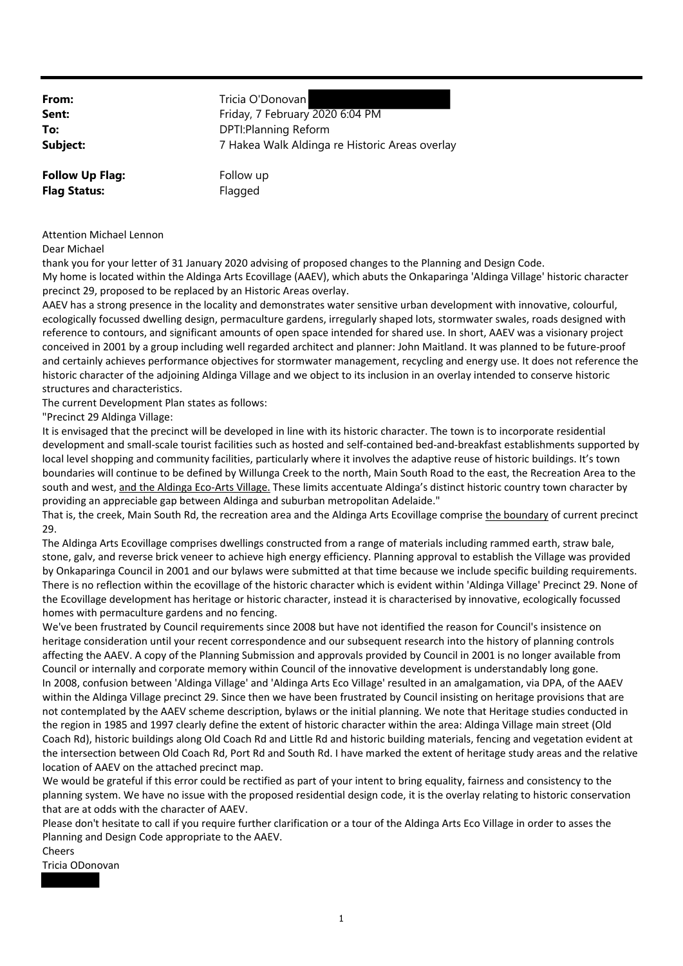**From:** Tricia O'Donovan **Sent:** Friday, 7 February 2020 6:04 PM **To:** DPTI:Planning Reform **Subject:** 7 Hakea Walk Aldinga re Historic Areas overlay **Follow Up Flag:** Follow up

| <b>Attention Michael Lennon</b> |  |
|---------------------------------|--|

Dear Michael

thank you for your letter of 31 January 2020 advising of proposed changes to the Planning and Design Code. My home is located within the Aldinga Arts Ecovillage (AAEV), which abuts the Onkaparinga 'Aldinga Village' historic character precinct 29, proposed to be replaced by an Historic Areas overlay.

AAEV has a strong presence in the locality and demonstrates water sensitive urban development with innovative, colourful, ecologically focussed dwelling design, permaculture gardens, irregularly shaped lots, stormwater swales, roads designed with reference to contours, and significant amounts of open space intended for shared use. In short, AAEV was a visionary project conceived in 2001 by a group including well regarded architect and planner: John Maitland. It was planned to be future‐proof and certainly achieves performance objectives for stormwater management, recycling and energy use. It does not reference the historic character of the adjoining Aldinga Village and we object to its inclusion in an overlay intended to conserve historic structures and characteristics.

The current Development Plan states as follows:

**Flag Status:** Flagged

"Precinct 29 Aldinga Village:

It is envisaged that the precinct will be developed in line with its historic character. The town is to incorporate residential development and small‐scale tourist facilities such as hosted and self‐contained bed‐and‐breakfast establishments supported by local level shopping and community facilities, particularly where it involves the adaptive reuse of historic buildings. It's town boundaries will continue to be defined by Willunga Creek to the north, Main South Road to the east, the Recreation Area to the south and west, and the Aldinga Eco-Arts Village. These limits accentuate Aldinga's distinct historic country town character by providing an appreciable gap between Aldinga and suburban metropolitan Adelaide."

That is, the creek, Main South Rd, the recreation area and the Aldinga Arts Ecovillage comprise the boundary of current precinct 29.

The Aldinga Arts Ecovillage comprises dwellings constructed from a range of materials including rammed earth, straw bale, stone, galv, and reverse brick veneer to achieve high energy efficiency. Planning approval to establish the Village was provided by Onkaparinga Council in 2001 and our bylaws were submitted at that time because we include specific building requirements. There is no reflection within the ecovillage of the historic character which is evident within 'Aldinga Village' Precinct 29. None of the Ecovillage development has heritage or historic character, instead it is characterised by innovative, ecologically focussed homes with permaculture gardens and no fencing.

We've been frustrated by Council requirements since 2008 but have not identified the reason for Council's insistence on heritage consideration until your recent correspondence and our subsequent research into the history of planning controls affecting the AAEV. A copy of the Planning Submission and approvals provided by Council in 2001 is no longer available from Council or internally and corporate memory within Council of the innovative development is understandably long gone. In 2008, confusion between 'Aldinga Village' and 'Aldinga Arts Eco Village' resulted in an amalgamation, via DPA, of the AAEV within the Aldinga Village precinct 29. Since then we have been frustrated by Council insisting on heritage provisions that are not contemplated by the AAEV scheme description, bylaws or the initial planning. We note that Heritage studies conducted in the region in 1985 and 1997 clearly define the extent of historic character within the area: Aldinga Village main street (Old Coach Rd), historic buildings along Old Coach Rd and Little Rd and historic building materials, fencing and vegetation evident at the intersection between Old Coach Rd, Port Rd and South Rd. I have marked the extent of heritage study areas and the relative location of AAEV on the attached precinct map.

We would be grateful if this error could be rectified as part of your intent to bring equality, fairness and consistency to the planning system. We have no issue with the proposed residential design code, it is the overlay relating to historic conservation that are at odds with the character of AAEV.

Please don't hesitate to call if you require further clarification or a tour of the Aldinga Arts Eco Village in order to asses the Planning and Design Code appropriate to the AAEV.

Cheers

Tricia ODonovan